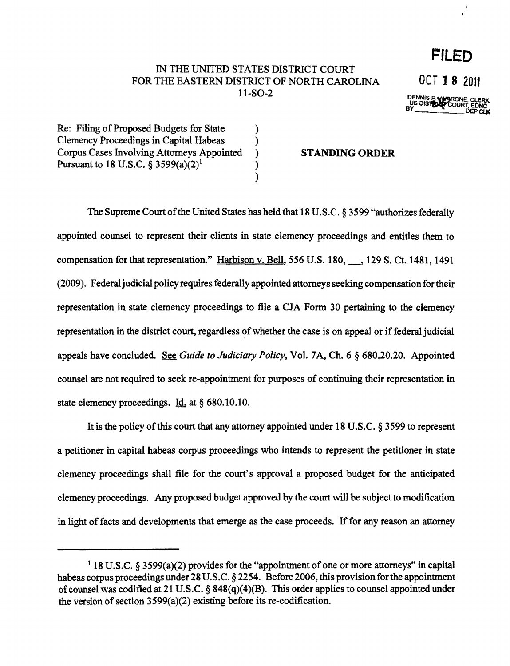## IN THE UNITED STATES DISTRICT COURT FOR THE EASTERN DISTRICT OF NORTH CAROLINA  $0$ CT **18** 2011 11-SO-2 DENNIS<sup>P</sup> WARONE CLERK<br>US DISTURBED OURT, EDNC<br>BY DEPCLK

) ) ) ) )

Re: Filing of Proposed Budgets for State Clemency Proceedings in Capital Habeas Corpus Cases Involving Attorneys Appointed Pursuant to 18 U.S.C.  $\frac{5}{9}$  3599(a)(2)<sup>1</sup>

## STANDING **ORDER**

The Supreme Court of the United States has held that 18 U.S.C. § 3599 "authorizes federally appointed counsel to represent their clients in state clemency proceedings and entitles them to compensation for that representation." Harbison v. Bell, 556 U.S. 180, \_, 129 S. Ct. 1481, 1491 (2009). Federal judicial policy requires federally appointed attorneys seeking compensation for their representation in state clemency proceedings to file a CJA Form 30 pertaining to the clemency representation in the district court, regardless of whether the case is on appeal or if federal judicial appeals have concluded. See *Guide to Judiciary Policy*, Vol. 7A, Ch. 6 § 680.20.20. Appointed counsel are not required to seek re-appointment for purposes of continuing their representation in state clemency proceedings. Id. at § 680.10.10.

It is the policy of this court that any attorney appointed under 18 U.S.C.  $\S$  3599 to represent a petitioner in capital habeas corpus proceedings who intends to represent the petitioner in state clemency proceedings shall file for the court's approval a proposed budget for the anticipated clemency proceedings. Any proposed budget approved by the court will be subject to modification in light of facts and developments that emerge as the case proceeds. If for any reason an attorney

**FILED** 

 $118$  U.S.C. § 3599(a)(2) provides for the "appointment of one or more attorneys" in capital habeas corpus proceedings under 28 U.S.C. § 2254. Before 2006, this provision for the appointment of counsel was codified at 21 U.S.C. § 848(q)(4)(B). This order applies to counsel appointed under the version of section  $3599(a)(2)$  existing before its re-codification.